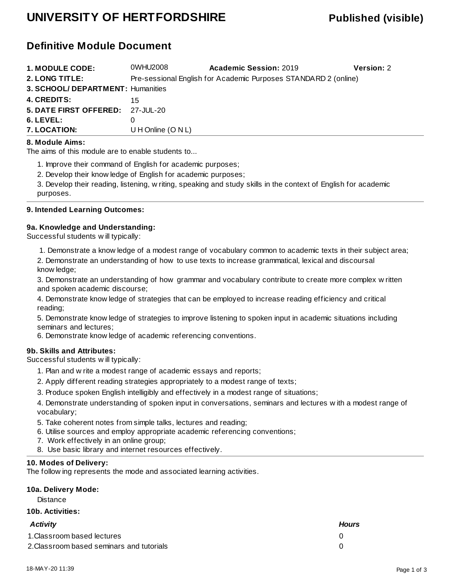## **UNIVERSITY OF HERTFORDSHIRE Published (visible)**

## **Definitive Module Document**

| <b>1. MODULE CODE:</b>            | 0WHU2008                                                        | <b>Academic Session: 2019</b> | <b>Version: 2</b> |  |  |  |
|-----------------------------------|-----------------------------------------------------------------|-------------------------------|-------------------|--|--|--|
| 2. LONG TITLE:                    | Pre-sessional English for Academic Purposes STANDARD 2 (online) |                               |                   |  |  |  |
| 3. SCHOOL/ DEPARTMENT: Humanities |                                                                 |                               |                   |  |  |  |
| <b>4. CREDITS:</b>                | 15.                                                             |                               |                   |  |  |  |
| 5. DATE FIRST OFFERED: 27-JUL-20  |                                                                 |                               |                   |  |  |  |
| 6. LEVEL:                         |                                                                 |                               |                   |  |  |  |
| 7. LOCATION:                      | U H Online $(O N L)$                                            |                               |                   |  |  |  |

#### **8. Module Aims:**

The aims of this module are to enable students to...

1. Improve their command of English for academic purposes;

2. Develop their knowledge of English for academic purposes;

3. Develop their reading, listening, writing, speaking and study skills in the context of English for academic purposes.

#### **9. Intended Learning Outcomes:**

#### **9a. Knowledge and Understanding:**

Successful students will typically:

1. Demonstrate a knowledge of a modest range of vocabulary common to academic texts in their subject area;

2. Demonstrate an understanding of how to use texts to increase grammatical, lexical and discoursal knowledge;

3. Demonstrate an understanding of how grammar and vocabulary contribute to create more complex written and spoken academic discourse;

4. Demonstrate knowledge of strategies that can be employed to increase reading efficiency and critical reading;

5. Demonstrate knowledge of strategies to improve listening to spoken input in academic situations including seminars and lectures;

6. Demonstrate knowledge of academic referencing conventions.

#### **9b. Skills and Attributes:**

Successful students will typically:

- 1. Plan and write a modest range of academic essays and reports;
- 2. Apply different reading strategies appropriately to a modest range of texts;
- 3. Produce spoken English intelligibly and effectively in a modest range of situations;

4. Demonstrate understanding of spoken input in conversations, seminars and lectures with a modest range of vocabulary;

- 5. Take coherent notes from simple talks, lectures and reading;
- 6. Utilise sources and employ appropriate academic referencing conventions;
- 7. Work effectively in an online group;
- 8. Use basic library and internet resources effectively.

#### **10. Modes of Delivery:**

The following represents the mode and associated learning activities.

### **10a. Delivery Mode:**

**Distance** 

#### **10b. Activities:**

| <b>Activity</b>                           | <b>Hours</b> |
|-------------------------------------------|--------------|
| 1. Classroom based lectures               |              |
| 2. Classroom based seminars and tutorials |              |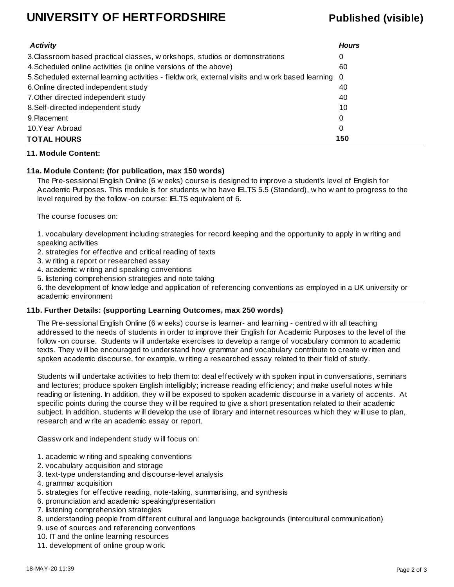## **UNIVERSITY OF HERTFORDSHIRE Published (visible)**

| <b>Activity</b>                                                                                    | <b>Hours</b> |
|----------------------------------------------------------------------------------------------------|--------------|
| 3. Classroom based practical classes, w orkshops, studios or demonstrations                        | 0            |
| 4. Scheduled online activities (ie online versions of the above)                                   | 60           |
| 5. Scheduled external learning activities - fieldw ork, external visits and w ork based learning 0 |              |
| 6. Online directed independent study                                                               | 40           |
| 7. Other directed independent study                                                                | 40           |
| 8. Self-directed independent study                                                                 | 10           |
| 9. Placement                                                                                       | 0            |
| 10.Year Abroad                                                                                     | 0            |
| <b>TOTAL HOURS</b>                                                                                 | 150          |

#### **11. Module Content:**

#### **11a. Module Content: (for publication, max 150 words)**

The Pre-sessional English Online (6 weeks) course is designed to improve a student's level of English for Academic Purposes. This module is for students who have IELTS 5.5 (Standard), who want to progress to the level required by the follow-on course: IELTS equivalent of 6.

The course focuses on:

1. vocabulary development including strategies for record keeping and the opportunity to apply in writing and speaking activities

2. strategies for effective and critical reading of texts

3. writing a report or researched essay

4. academic writing and speaking conventions

5. listening comprehension strategies and note taking

6. the development of knowledge and application of referencing conventions as employed in a UK university or academic environment

#### **11b. Further Details: (supporting Learning Outcomes, max 250 words)**

The Pre-sessional English Online (6 weeks) course is learner- and learning - centred with all teaching addressed to the needs of students in order to improve their English for Academic Purposes to the level of the follow-on course. Students will undertake exercises to develop a range of vocabulary common to academic texts. They will be encouraged to understand how grammar and vocabulary contribute to create written and spoken academic discourse, for example, writing a researched essay related to their field of study.

Students will undertake activities to help them to: deal effectively with spoken input in conversations, seminars and lectures; produce spoken English intelligibly; increase reading efficiency; and make useful notes while reading or listening. In addition, they will be exposed to spoken academic discourse in a variety of accents. At specific points during the course they will be required to give a short presentation related to their academic subject. In addition, students will develop the use of library and internet resources which they will use to plan, research and write an academic essay or report.

Classwork and independent study will focus on:

- 1. academic writing and speaking conventions
- 2. vocabulary acquisition and storage
- 3. text-type understanding and discourse-level analysis
- 4. grammar acquisition
- 5. strategies for effective reading, note-taking, summarising, and synthesis
- 6. pronunciation and academic speaking/presentation
- 7. listening comprehension strategies
- 8. understanding people from different cultural and language backgrounds (intercultural communication)
- 9. use of sources and referencing conventions
- 10. IT and the online learning resources
- 11. development of online group work.